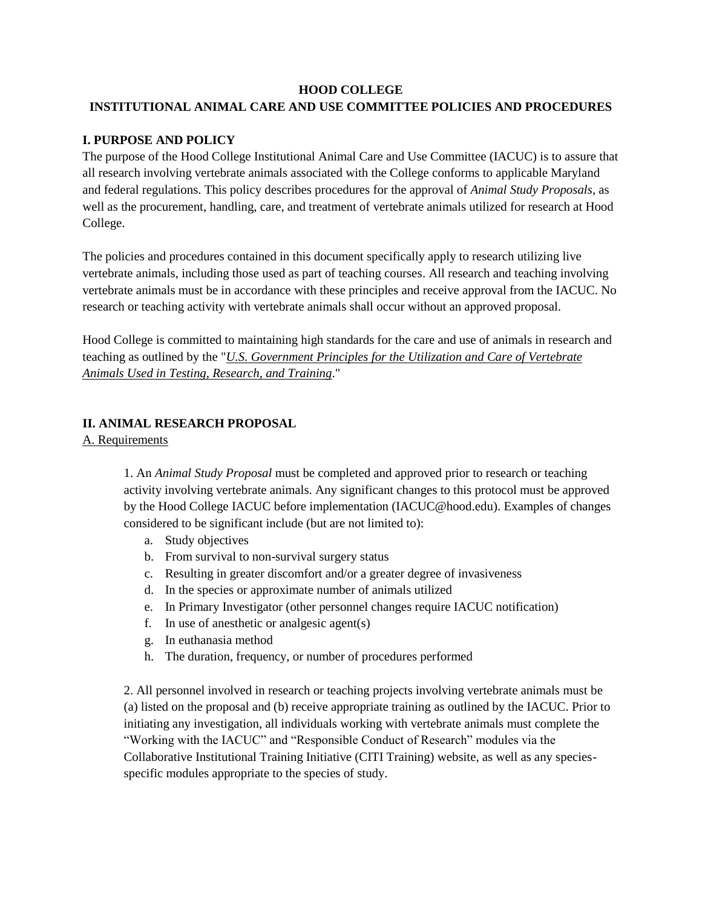# **HOOD COLLEGE INSTITUTIONAL ANIMAL CARE AND USE COMMITTEE POLICIES AND PROCEDURES**

## **I. PURPOSE AND POLICY**

The purpose of the Hood College Institutional Animal Care and Use Committee (IACUC) is to assure that all research involving vertebrate animals associated with the College conforms to applicable Maryland and federal regulations. This policy describes procedures for the approval of *Animal Study Proposals*, as well as the procurement, handling, care, and treatment of vertebrate animals utilized for research at Hood College.

The policies and procedures contained in this document specifically apply to research utilizing live vertebrate animals, including those used as part of teaching courses. All research and teaching involving vertebrate animals must be in accordance with these principles and receive approval from the IACUC. No research or teaching activity with vertebrate animals shall occur without an approved proposal.

Hood College is committed to maintaining high standards for the care and use of animals in research and teaching as outlined by the "*U.S. Government Principles [for the Utilization and Care of Vertebrate](http://www.nal.usda.gov/awic/pubs/IACUC/vert.htm)  [Animals Used in Testing, Research, and Training](http://www.nal.usda.gov/awic/pubs/IACUC/vert.htm)*."

## **II. ANIMAL RESEARCH PROPOSAL**

### A. Requirements

1. An *Animal Study Proposal* must be completed and approved prior to research or teaching activity involving vertebrate animals. Any significant changes to this protocol must be approved by the Hood College IACUC before implementation (IACUC@hood.edu). Examples of changes considered to be significant include (but are not limited to):

- a. Study objectives
- b. From survival to non-survival surgery status
- c. Resulting in greater discomfort and/or a greater degree of invasiveness
- d. In the species or approximate number of animals utilized
- e. In Primary Investigator (other personnel changes require IACUC notification)
- f. In use of anesthetic or analgesic agent(s)
- g. In euthanasia method
- h. The duration, frequency, or number of procedures performed

2. All personnel involved in research or teaching projects involving vertebrate animals must be (a) listed on the proposal and (b) receive appropriate training as outlined by the IACUC. Prior to initiating any investigation, all individuals working with vertebrate animals must complete the "Working with the IACUC" and "Responsible Conduct of Research" modules via the Collaborative Institutional Training Initiative (CITI Training) website, as well as any speciesspecific modules appropriate to the species of study.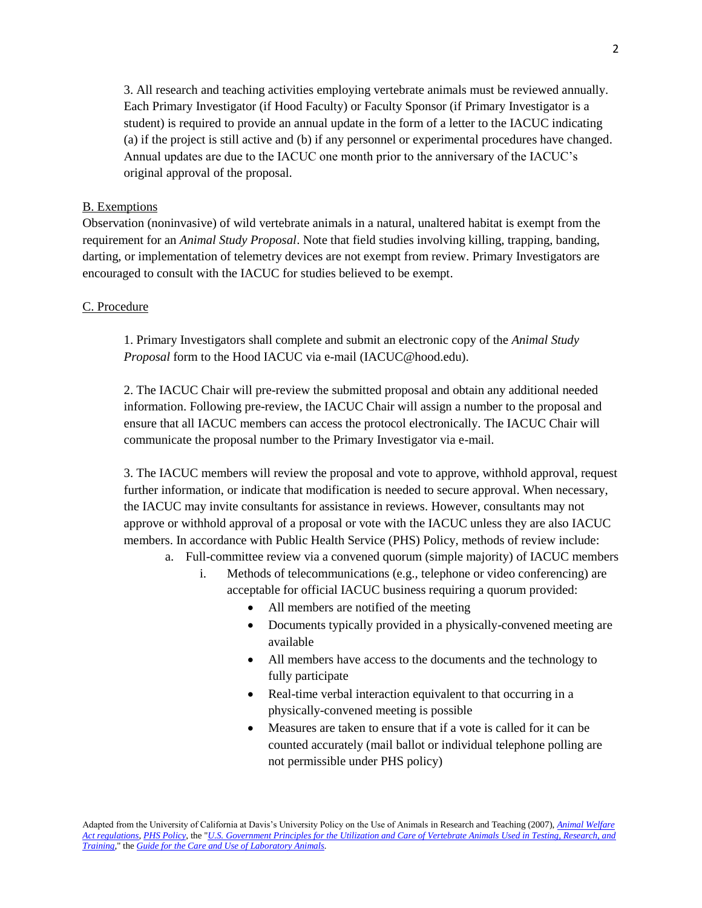3. All research and teaching activities employing vertebrate animals must be reviewed annually. Each Primary Investigator (if Hood Faculty) or Faculty Sponsor (if Primary Investigator is a student) is required to provide an annual update in the form of a letter to the IACUC indicating (a) if the project is still active and (b) if any personnel or experimental procedures have changed. Annual updates are due to the IACUC one month prior to the anniversary of the IACUC's original approval of the proposal.

### B. Exemptions

Observation (noninvasive) of wild vertebrate animals in a natural, unaltered habitat is exempt from the requirement for an *Animal Study Proposal*. Note that field studies involving killing, trapping, banding, darting, or implementation of telemetry devices are not exempt from review. Primary Investigators are encouraged to consult with the IACUC for studies believed to be exempt.

### C. Procedure

1. Primary Investigators shall complete and submit an electronic copy of the *Animal Study Proposal* form to the Hood IACUC via e-mail (IACUC@hood.edu).

2. The IACUC Chair will pre-review the submitted proposal and obtain any additional needed information. Following pre-review, the IACUC Chair will assign a number to the proposal and ensure that all IACUC members can access the protocol electronically. The IACUC Chair will communicate the proposal number to the Primary Investigator via e-mail.

3. The IACUC members will review the proposal and vote to approve, withhold approval, request further information, or indicate that modification is needed to secure approval. When necessary, the IACUC may invite consultants for assistance in reviews. However, consultants may not approve or withhold approval of a proposal or vote with the IACUC unless they are also IACUC members. In accordance with Public Health Service (PHS) Policy, methods of review include:

- a. Full-committee review via a convened quorum (simple majority) of IACUC members
	- i. Methods of telecommunications (e.g., telephone or video conferencing) are acceptable for official IACUC business requiring a quorum provided:
		- All members are notified of the meeting
		- Documents typically provided in a physically-convened meeting are available
		- All members have access to the documents and the technology to fully participate
		- Real-time verbal interaction equivalent to that occurring in a physically-convened meeting is possible
		- Measures are taken to ensure that if a vote is called for it can be counted accurately (mail ballot or individual telephone polling are not permissible under PHS policy)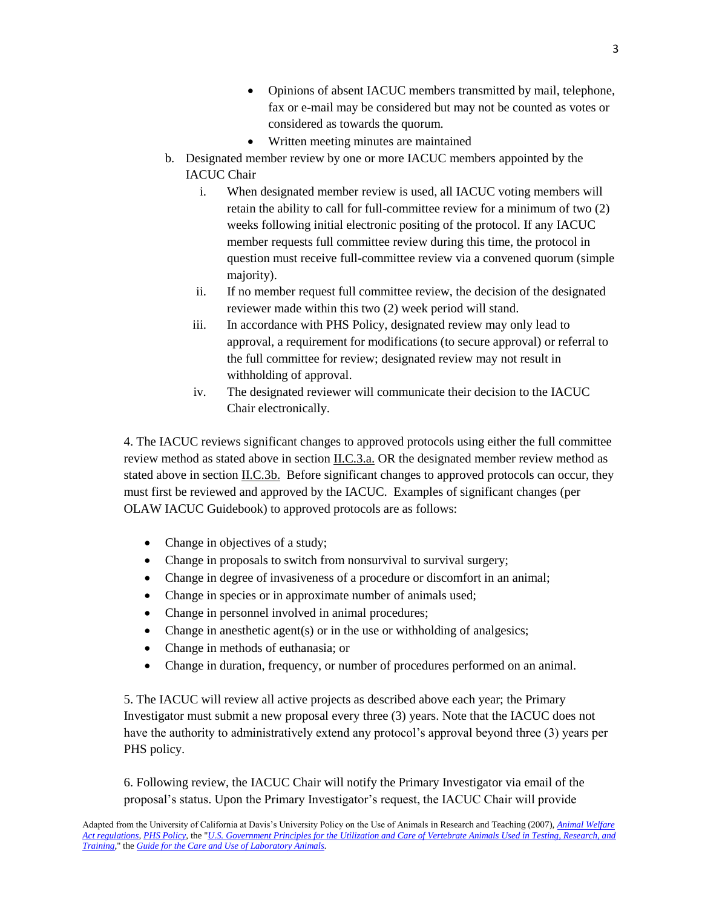- Opinions of absent IACUC members transmitted by mail, telephone, fax or e-mail may be considered but may not be counted as votes or considered as towards the quorum.
- Written meeting minutes are maintained
- b. Designated member review by one or more IACUC members appointed by the IACUC Chair
	- i. When designated member review is used, all IACUC voting members will retain the ability to call for full-committee review for a minimum of two (2) weeks following initial electronic positing of the protocol. If any IACUC member requests full committee review during this time, the protocol in question must receive full-committee review via a convened quorum (simple majority).
	- ii. If no member request full committee review, the decision of the designated reviewer made within this two (2) week period will stand.
	- iii. In accordance with PHS Policy, designated review may only lead to approval, a requirement for modifications (to secure approval) or referral to the full committee for review; designated review may not result in withholding of approval.
	- iv. The designated reviewer will communicate their decision to the IACUC Chair electronically.

4. The IACUC reviews significant changes to approved protocols using either the full committee review method as stated above in section II.C.3.a. OR the designated member review method as stated above in section II.C.3b. Before significant changes to approved protocols can occur, they must first be reviewed and approved by the IACUC. Examples of significant changes (per OLAW IACUC Guidebook) to approved protocols are as follows:

- Change in objectives of a study;
- Change in proposals to switch from nonsurvival to survival surgery;
- Change in degree of invasiveness of a procedure or discomfort in an animal;
- Change in species or in approximate number of animals used;
- Change in personnel involved in animal procedures;
- $\bullet$  Change in anesthetic agent(s) or in the use or withholding of analgesics;
- Change in methods of euthanasia; or
- Change in duration, frequency, or number of procedures performed on an animal.

5. The IACUC will review all active projects as described above each year; the Primary Investigator must submit a new proposal every three (3) years. Note that the IACUC does not have the authority to administratively extend any protocol's approval beyond three (3) years per PHS policy.

6. Following review, the IACUC Chair will notify the Primary Investigator via email of the proposal's status. Upon the Primary Investigator's request, the IACUC Chair will provide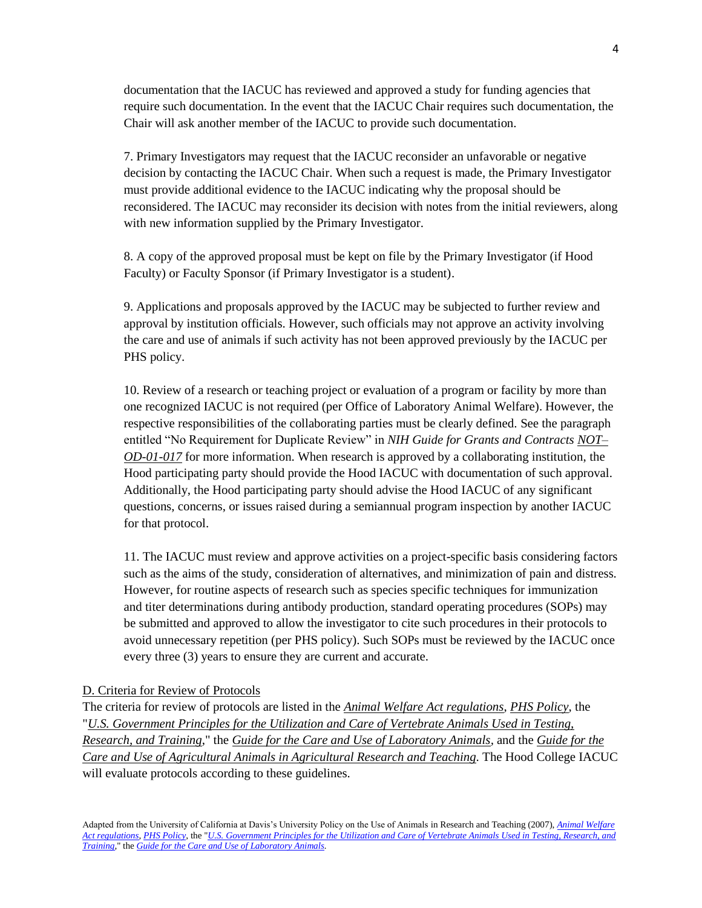documentation that the IACUC has reviewed and approved a study for funding agencies that require such documentation. In the event that the IACUC Chair requires such documentation, the Chair will ask another member of the IACUC to provide such documentation.

7. Primary Investigators may request that the IACUC reconsider an unfavorable or negative decision by contacting the IACUC Chair. When such a request is made, the Primary Investigator must provide additional evidence to the IACUC indicating why the proposal should be reconsidered. The IACUC may reconsider its decision with notes from the initial reviewers, along with new information supplied by the Primary Investigator.

8. A copy of the approved proposal must be kept on file by the Primary Investigator (if Hood Faculty) or Faculty Sponsor (if Primary Investigator is a student).

9. Applications and proposals approved by the IACUC may be subjected to further review and approval by institution officials. However, such officials may not approve an activity involving the care and use of animals if such activity has not been approved previously by the IACUC per PHS policy.

10. Review of a research or teaching project or evaluation of a program or facility by more than one recognized IACUC is not required (per Office of Laboratory Animal Welfare). However, the respective responsibilities of the collaborating parties must be clearly defined. See the paragraph entitled "No Requirement for Duplicate Review" in *NIH Guide for Grants and Contracts [NOT–](http://grants.nih.gov/grants/guide/notice-files/NOT-OD-01-017.html) [OD-01-017](http://grants.nih.gov/grants/guide/notice-files/NOT-OD-01-017.html)* for more information. When research is approved by a collaborating institution, the Hood participating party should provide the Hood IACUC with documentation of such approval. Additionally, the Hood participating party should advise the Hood IACUC of any significant questions, concerns, or issues raised during a semiannual program inspection by another IACUC for that protocol.

11. The IACUC must review and approve activities on a project-specific basis considering factors such as the aims of the study, consideration of alternatives, and minimization of pain and distress. However, for routine aspects of research such as species specific techniques for immunization and titer determinations during antibody production, standard operating procedures (SOPs) may be submitted and approved to allow the investigator to cite such procedures in their protocols to avoid unnecessary repetition (per PHS policy). Such SOPs must be reviewed by the IACUC once every three (3) years to ensure they are current and accurate.

## D. Criteria for Review of Protocols

The criteria for review of protocols are listed in the *[Animal Welfare Act regulations](http://www.nal.usda.gov/awic/legislat/usdaleg1.htm)*, *[PHS Policy](http://grants.nih.gov/grants/olaw/references/phspol.htm)*, the "*U.S. Government Principles [for the Utilization and Care of Vertebrate Animals Used in Testing,](http://www.nal.usda.gov/awic/pubs/IACUC/vert.htm)  [Research, and Training](http://www.nal.usda.gov/awic/pubs/IACUC/vert.htm)*," the *Guide [for the Care and Use of Laboratory Animals,](http://books.nap.edu/readingroom/books/labrats/)* and the *[Guide for the](http://www.nal.usda.gov/awic/newsletters/v9n3/9n3f6441.htm)  [Care and Use of Agricultural Animals in Agricultural Research and Teaching.](http://www.nal.usda.gov/awic/newsletters/v9n3/9n3f6441.htm)* The Hood College IACUC will evaluate protocols according to these guidelines.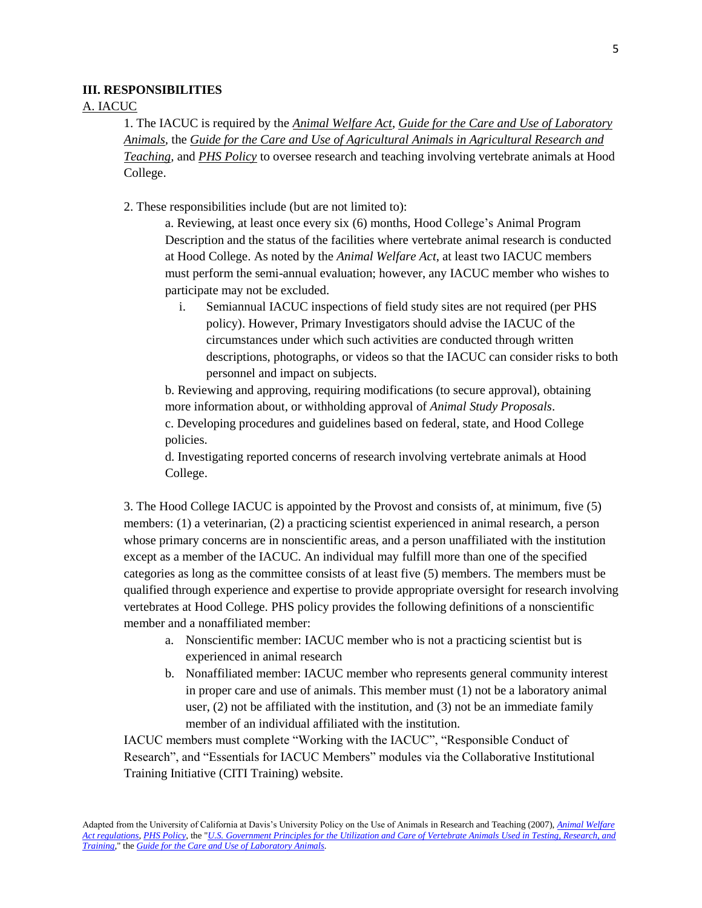#### **III. RESPONSIBILITIES**

### A. IACUC

1. The IACUC is required by the *[Animal Welfare Act](http://www.nal.usda.gov/awic/legislat/usdaleg1.htm)*, *[Guide for the Care and Use of Laboratory](http://books.nap.edu/readingroom/books/labrats/)  [Animals,](http://books.nap.edu/readingroom/books/labrats/)* the *[Guide for the Care and Use of Agricultural Animals in Agricultural Research and](http://www.nal.usda.gov/awic/newsletters/v9n3/9n3f6441.htm)  [Teaching,](http://www.nal.usda.gov/awic/newsletters/v9n3/9n3f6441.htm)* and *[PHS Policy](http://grants.nih.gov/grants/olaw/references/phspol.htm)* to oversee research and teaching involving vertebrate animals at Hood College.

2. These responsibilities include (but are not limited to):

a. Reviewing, at least once every six (6) months, Hood College's Animal Program Description and the status of the facilities where vertebrate animal research is conducted at Hood College. As noted by the *Animal Welfare Act*, at least two IACUC members must perform the semi-annual evaluation; however, any IACUC member who wishes to participate may not be excluded.

i. Semiannual IACUC inspections of field study sites are not required (per PHS policy). However, Primary Investigators should advise the IACUC of the circumstances under which such activities are conducted through written descriptions, photographs, or videos so that the IACUC can consider risks to both personnel and impact on subjects.

b. Reviewing and approving, requiring modifications (to secure approval), obtaining more information about, or withholding approval of *Animal Study Proposals*. c. Developing procedures and guidelines based on federal, state, and Hood College policies.

d. Investigating reported concerns of research involving vertebrate animals at Hood College.

3. The Hood College IACUC is appointed by the Provost and consists of, at minimum, five (5) members: (1) a veterinarian, (2) a practicing scientist experienced in animal research, a person whose primary concerns are in nonscientific areas, and a person unaffiliated with the institution except as a member of the IACUC. An individual may fulfill more than one of the specified categories as long as the committee consists of at least five (5) members. The members must be qualified through experience and expertise to provide appropriate oversight for research involving vertebrates at Hood College. PHS policy provides the following definitions of a nonscientific member and a nonaffiliated member:

- a. Nonscientific member: IACUC member who is not a practicing scientist but is experienced in animal research
- b. Nonaffiliated member: IACUC member who represents general community interest in proper care and use of animals. This member must (1) not be a laboratory animal user, (2) not be affiliated with the institution, and (3) not be an immediate family member of an individual affiliated with the institution.

IACUC members must complete "Working with the IACUC", "Responsible Conduct of Research", and "Essentials for IACUC Members" modules via the Collaborative Institutional Training Initiative (CITI Training) website.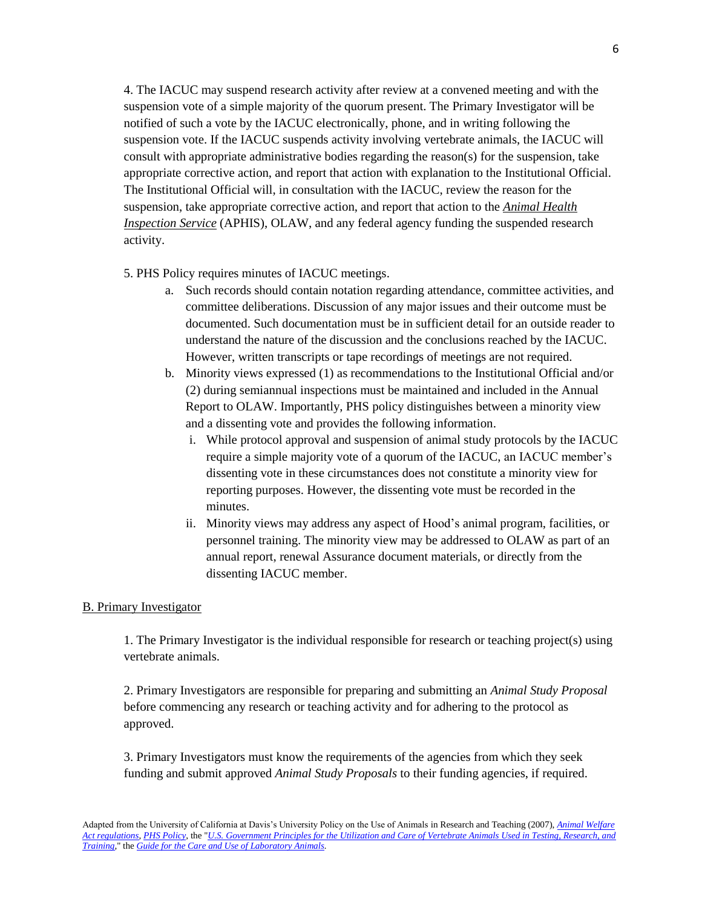4. The IACUC may suspend research activity after review at a convened meeting and with the suspension vote of a simple majority of the quorum present. The Primary Investigator will be notified of such a vote by the IACUC electronically, phone, and in writing following the suspension vote. If the IACUC suspends activity involving vertebrate animals, the IACUC will consult with appropriate administrative bodies regarding the reason(s) for the suspension, take appropriate corrective action, and report that action with explanation to the Institutional Official. The Institutional Official will, in consultation with the IACUC, review the reason for the suspension, take appropriate corrective action, and report that action to the *[Animal Health](http://www.aphis.usda.gov/)  [Inspection Service](http://www.aphis.usda.gov/)* (APHIS), OLAW, and any federal agency funding the suspended research activity.

- 5. PHS Policy requires minutes of IACUC meetings.
	- a. Such records should contain notation regarding attendance, committee activities, and committee deliberations. Discussion of any major issues and their outcome must be documented. Such documentation must be in sufficient detail for an outside reader to understand the nature of the discussion and the conclusions reached by the IACUC. However, written transcripts or tape recordings of meetings are not required.
	- b. Minority views expressed (1) as recommendations to the Institutional Official and/or (2) during semiannual inspections must be maintained and included in the Annual Report to OLAW. Importantly, PHS policy distinguishes between a minority view and a dissenting vote and provides the following information.
		- i. While protocol approval and suspension of animal study protocols by the IACUC require a simple majority vote of a quorum of the IACUC, an IACUC member's dissenting vote in these circumstances does not constitute a minority view for reporting purposes. However, the dissenting vote must be recorded in the minutes.
		- ii. Minority views may address any aspect of Hood's animal program, facilities, or personnel training. The minority view may be addressed to OLAW as part of an annual report, renewal Assurance document materials, or directly from the dissenting IACUC member.

#### B. Primary Investigator

1. The Primary Investigator is the individual responsible for research or teaching project(s) using vertebrate animals.

2. Primary Investigators are responsible for preparing and submitting an *Animal Study Proposal* before commencing any research or teaching activity and for adhering to the protocol as approved.

3. Primary Investigators must know the requirements of the agencies from which they seek funding and submit approved *Animal Study Proposals* to their funding agencies, if required.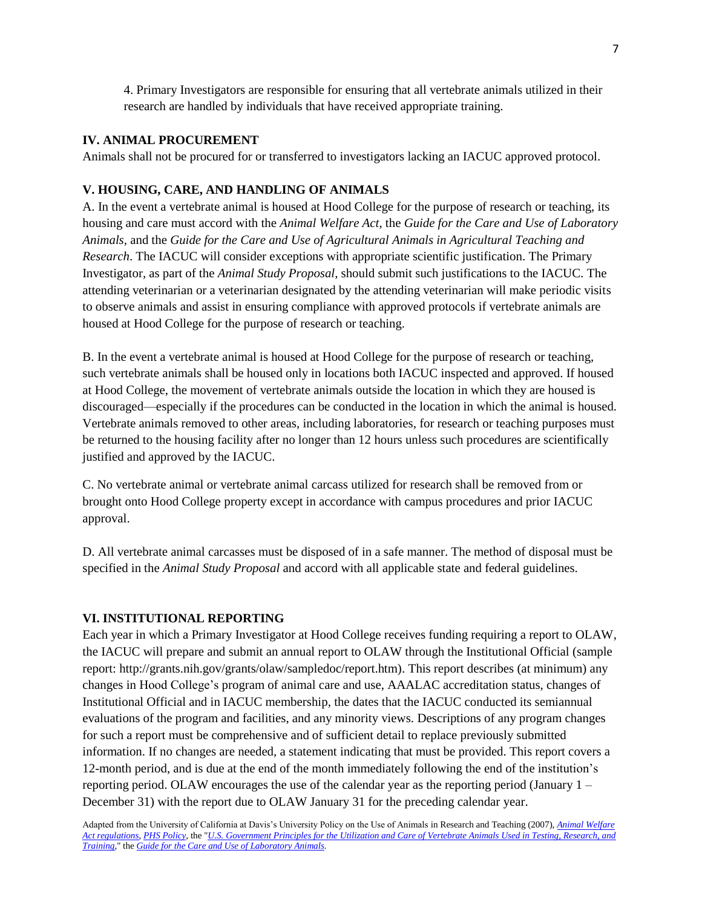4. Primary Investigators are responsible for ensuring that all vertebrate animals utilized in their research are handled by individuals that have received appropriate training.

## **IV. ANIMAL PROCUREMENT**

Animals shall not be procured for or transferred to investigators lacking an IACUC approved protocol.

# **V. HOUSING, CARE, AND HANDLING OF ANIMALS**

A. In the event a vertebrate animal is housed at Hood College for the purpose of research or teaching, its housing and care must accord with the *Animal Welfare Act*, the *Guide for the Care and Use of Laboratory Animals,* and the *Guide for the Care and Use of Agricultural Animals in Agricultural Teaching and Research*. The IACUC will consider exceptions with appropriate scientific justification. The Primary Investigator, as part of the *Animal Study Proposal*, should submit such justifications to the IACUC. The attending veterinarian or a veterinarian designated by the attending veterinarian will make periodic visits to observe animals and assist in ensuring compliance with approved protocols if vertebrate animals are housed at Hood College for the purpose of research or teaching.

B. In the event a vertebrate animal is housed at Hood College for the purpose of research or teaching, such vertebrate animals shall be housed only in locations both IACUC inspected and approved. If housed at Hood College, the movement of vertebrate animals outside the location in which they are housed is discouraged—especially if the procedures can be conducted in the location in which the animal is housed. Vertebrate animals removed to other areas, including laboratories, for research or teaching purposes must be returned to the housing facility after no longer than 12 hours unless such procedures are scientifically justified and approved by the IACUC.

C. No vertebrate animal or vertebrate animal carcass utilized for research shall be removed from or brought onto Hood College property except in accordance with campus procedures and prior IACUC approval.

D. All vertebrate animal carcasses must be disposed of in a safe manner. The method of disposal must be specified in the *Animal Study Proposal* and accord with all applicable state and federal guidelines*.*

# **VI. INSTITUTIONAL REPORTING**

Each year in which a Primary Investigator at Hood College receives funding requiring a report to OLAW, the IACUC will prepare and submit an annual report to OLAW through the Institutional Official (sample report: http://grants.nih.gov/grants/olaw/sampledoc/report.htm). This report describes (at minimum) any changes in Hood College's program of animal care and use, AAALAC accreditation status, changes of Institutional Official and in IACUC membership, the dates that the IACUC conducted its semiannual evaluations of the program and facilities, and any minority views. Descriptions of any program changes for such a report must be comprehensive and of sufficient detail to replace previously submitted information. If no changes are needed, a statement indicating that must be provided. This report covers a 12-month period, and is due at the end of the month immediately following the end of the institution's reporting period. OLAW encourages the use of the calendar year as the reporting period (January  $1 -$ December 31) with the report due to OLAW January 31 for the preceding calendar year.